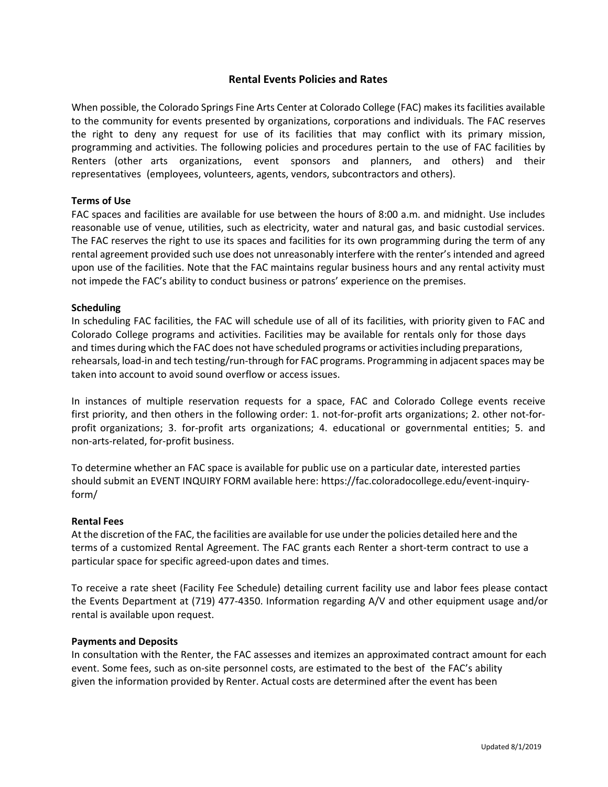# **Rental Events Policies and Rates**

When possible, the Colorado Springs Fine Arts Center at Colorado College (FAC) makes its facilities available to the community for events presented by organizations, corporations and individuals. The FAC reserves the right to deny any request for use of its facilities that may conflict with its primary mission, programming and activities. The following policies and procedures pertain to the use of FAC facilities by Renters (other arts organizations, event sponsors and planners, and others) and their representatives (employees, volunteers, agents, vendors, subcontractors and others).

# **Terms of Use**

FAC spaces and facilities are available for use between the hours of 8:00 a.m. and midnight. Use includes reasonable use of venue, utilities, such as electricity, water and natural gas, and basic custodial services. The FAC reserves the right to use its spaces and facilities for its own programming during the term of any rental agreement provided such use does not unreasonably interfere with the renter's intended and agreed upon use of the facilities. Note that the FAC maintains regular business hours and any rental activity must not impede the FAC's ability to conduct business or patrons' experience on the premises.

# **Scheduling**

In scheduling FAC facilities, the FAC will schedule use of all of its facilities, with priority given to FAC and Colorado College programs and activities. Facilities may be available for rentals only for those days and times during which the FAC does not have scheduled programs or activitiesincluding preparations, rehearsals, load-in and tech testing/run-through for FAC programs. Programming in adjacent spaces may be taken into account to avoid sound overflow or access issues.

In instances of multiple reservation requests for a space, FAC and Colorado College events receive first priority, and then others in the following order: 1. not-for-profit arts organizations; 2. other not-forprofit organizations; 3. for-profit arts organizations; 4. educational or governmental entities; 5. and non-arts-related, for-profit business.

To determine whether an FAC space is available for public use on a particular date, interested parties should submit an EVENT INQUIRY FORM available here: https://fac.coloradocollege.edu/event-inquiryform/

# **Rental Fees**

At the discretion of the FAC, the facilities are available for use under the policies detailed here and the terms of a customized Rental Agreement. The FAC grants each Renter a short-term contract to use a particular space for specific agreed-upon dates and times.

To receive a rate sheet (Facility Fee Schedule) detailing current facility use and labor fees please contact the Events Department at (719) 477-4350. Information regarding A/V and other equipment usage and/or rental is available upon request.

# **Payments and Deposits**

In consultation with the Renter, the FAC assesses and itemizes an approximated contract amount for each event. Some fees, such as on-site personnel costs, are estimated to the best of the FAC's ability given the information provided by Renter. Actual costs are determined after the event has been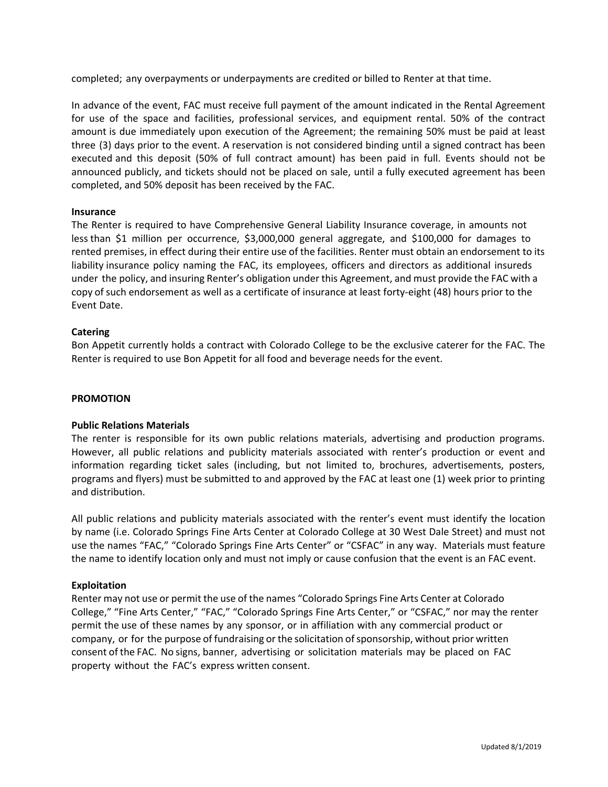completed; any overpayments or underpayments are credited or billed to Renter at that time.

In advance of the event, FAC must receive full payment of the amount indicated in the Rental Agreement for use of the space and facilities, professional services, and equipment rental. 50% of the contract amount is due immediately upon execution of the Agreement; the remaining 50% must be paid at least three (3) days prior to the event. A reservation is not considered binding until a signed contract has been executed and this deposit (50% of full contract amount) has been paid in full. Events should not be announced publicly, and tickets should not be placed on sale, until a fully executed agreement has been completed, and 50% deposit has been received by the FAC.

# **Insurance**

The Renter is required to have Comprehensive General Liability Insurance coverage, in amounts not less than \$1 million per occurrence, \$3,000,000 general aggregate, and \$100,000 for damages to rented premises, in effect during their entire use of the facilities. Renter must obtain an endorsement to its liability insurance policy naming the FAC, its employees, officers and directors as additional insureds under the policy, and insuring Renter's obligation under this Agreement, and must provide the FAC with a copy of such endorsement as well as a certificate of insurance at least forty-eight (48) hours prior to the Event Date.

# **Catering**

Bon Appetit currently holds a contract with Colorado College to be the exclusive caterer for the FAC. The Renter is required to use Bon Appetit for all food and beverage needs for the event.

# **PROMOTION**

# **Public Relations Materials**

The renter is responsible for its own public relations materials, advertising and production programs. However, all public relations and publicity materials associated with renter's production or event and information regarding ticket sales (including, but not limited to, brochures, advertisements, posters, programs and flyers) must be submitted to and approved by the FAC at least one (1) week prior to printing and distribution.

All public relations and publicity materials associated with the renter's event must identify the location by name (i.e. Colorado Springs Fine Arts Center at Colorado College at 30 West Dale Street) and must not use the names "FAC," "Colorado Springs Fine Arts Center" or "CSFAC" in any way. Materials must feature the name to identify location only and must not imply or cause confusion that the event is an FAC event.

# **Exploitation**

Renter may not use or permit the use of the names "Colorado Springs Fine Arts Center at Colorado College," "Fine Arts Center," "FAC," "Colorado Springs Fine Arts Center," or "CSFAC," nor may the renter permit the use of these names by any sponsor, or in affiliation with any commercial product or company, or for the purpose of fundraising or the solicitation of sponsorship, without prior written consent of the FAC. No signs, banner, advertising or solicitation materials may be placed on FAC property without the FAC's express written consent.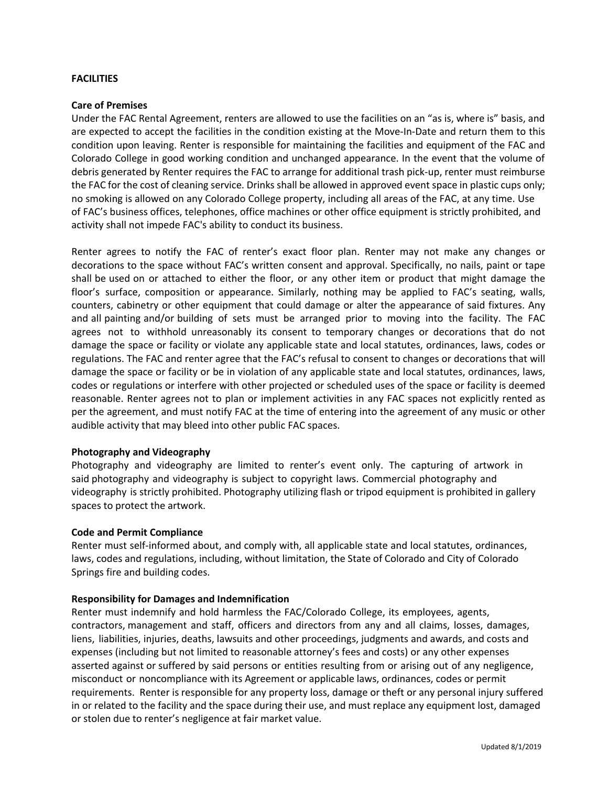# **FACILITIES**

# **Care of Premises**

Under the FAC Rental Agreement, renters are allowed to use the facilities on an "as is, where is" basis, and are expected to accept the facilities in the condition existing at the Move-In-Date and return them to this condition upon leaving. Renter is responsible for maintaining the facilities and equipment of the FAC and Colorado College in good working condition and unchanged appearance. In the event that the volume of debris generated by Renter requires the FAC to arrange for additional trash pick-up, renter must reimburse the FAC for the cost of cleaning service. Drinks shall be allowed in approved event space in plastic cups only; no smoking is allowed on any Colorado College property, including all areas of the FAC, at any time. Use of FAC's business offices, telephones, office machines or other office equipment is strictly prohibited, and activity shall not impede FAC's ability to conduct its business.

Renter agrees to notify the FAC of renter's exact floor plan. Renter may not make any changes or decorations to the space without FAC's written consent and approval. Specifically, no nails, paint or tape shall be used on or attached to either the floor, or any other item or product that might damage the floor's surface, composition or appearance. Similarly, nothing may be applied to FAC's seating, walls, counters, cabinetry or other equipment that could damage or alter the appearance of said fixtures. Any and all painting and/or building of sets must be arranged prior to moving into the facility. The FAC agrees not to withhold unreasonably its consent to temporary changes or decorations that do not damage the space or facility or violate any applicable state and local statutes, ordinances, laws, codes or regulations. The FAC and renter agree that the FAC's refusal to consent to changes or decorations that will damage the space or facility or be in violation of any applicable state and local statutes, ordinances, laws, codes or regulations or interfere with other projected or scheduled uses of the space or facility is deemed reasonable. Renter agrees not to plan or implement activities in any FAC spaces not explicitly rented as per the agreement, and must notify FAC at the time of entering into the agreement of any music or other audible activity that may bleed into other public FAC spaces.

# **Photography and Videography**

Photography and videography are limited to renter's event only. The capturing of artwork in said photography and videography is subject to copyright laws. Commercial photography and videography is strictly prohibited. Photography utilizing flash or tripod equipment is prohibited in gallery spaces to protect the artwork.

# **Code and Permit Compliance**

Renter must self-informed about, and comply with, all applicable state and local statutes, ordinances, laws, codes and regulations, including, without limitation, the State of Colorado and City of Colorado Springs fire and building codes.

# **Responsibility for Damages and Indemnification**

Renter must indemnify and hold harmless the FAC/Colorado College, its employees, agents, contractors, management and staff, officers and directors from any and all claims, losses, damages, liens, liabilities, injuries, deaths, lawsuits and other proceedings, judgments and awards, and costs and expenses (including but not limited to reasonable attorney's fees and costs) or any other expenses asserted against or suffered by said persons or entities resulting from or arising out of any negligence, misconduct or noncompliance with its Agreement or applicable laws, ordinances, codes or permit requirements. Renter is responsible for any property loss, damage or theft or any personal injury suffered in or related to the facility and the space during their use, and must replace any equipment lost, damaged or stolen due to renter's negligence at fair market value.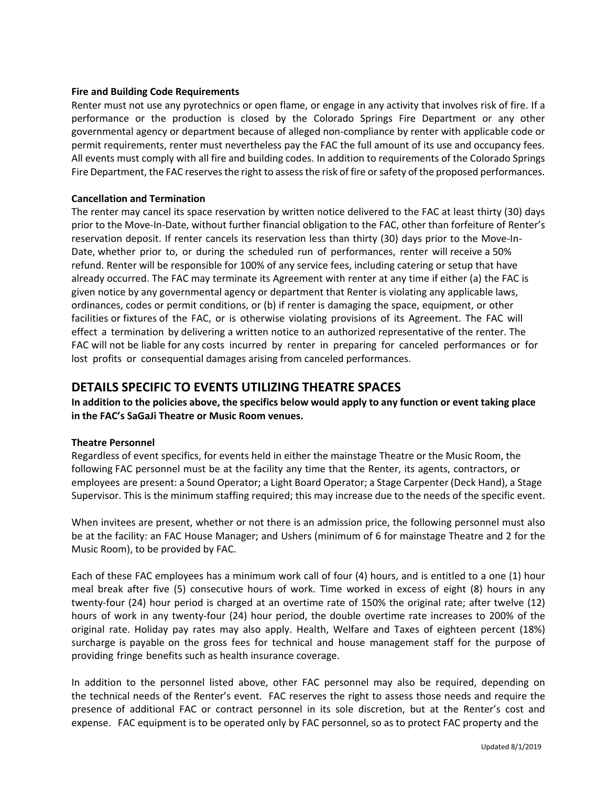# **Fire and Building Code Requirements**

Renter must not use any pyrotechnics or open flame, or engage in any activity that involves risk of fire. If a performance or the production is closed by the Colorado Springs Fire Department or any other governmental agency or department because of alleged non-compliance by renter with applicable code or permit requirements, renter must nevertheless pay the FAC the full amount of its use and occupancy fees. All events must comply with all fire and building codes. In addition to requirements of the Colorado Springs Fire Department, the FAC reserves the right to assess the risk of fire or safety of the proposed performances.

# **Cancellation and Termination**

The renter may cancel its space reservation by written notice delivered to the FAC at least thirty (30) days prior to the Move-In-Date, without further financial obligation to the FAC, other than forfeiture of Renter's reservation deposit. If renter cancels its reservation less than thirty (30) days prior to the Move-In-Date, whether prior to, or during the scheduled run of performances, renter will receive a 50% refund. Renter will be responsible for 100% of any service fees, including catering or setup that have already occurred. The FAC may terminate its Agreement with renter at any time if either (a) the FAC is given notice by any governmental agency or department that Renter is violating any applicable laws, ordinances, codes or permit conditions, or (b) if renter is damaging the space, equipment, or other facilities or fixtures of the FAC, or is otherwise violating provisions of its Agreement. The FAC will effect a termination by delivering a written notice to an authorized representative of the renter. The FAC will not be liable for any costs incurred by renter in preparing for canceled performances or for lost profits or consequential damages arising from canceled performances.

# **DETAILS SPECIFIC TO EVENTS UTILIZING THEATRE SPACES**

**In addition to the policies above, the specifics below would apply to any function or event taking place in the FAC's SaGaJi Theatre or Music Room venues.**

# **Theatre Personnel**

Regardless of event specifics, for events held in either the mainstage Theatre or the Music Room, the following FAC personnel must be at the facility any time that the Renter, its agents, contractors, or employees are present: a Sound Operator; a Light Board Operator; a Stage Carpenter (Deck Hand), a Stage Supervisor. This is the minimum staffing required; this may increase due to the needs of the specific event.

When invitees are present, whether or not there is an admission price, the following personnel must also be at the facility: an FAC House Manager; and Ushers (minimum of 6 for mainstage Theatre and 2 for the Music Room), to be provided by FAC.

Each of these FAC employees has a minimum work call of four (4) hours, and is entitled to a one (1) hour meal break after five (5) consecutive hours of work. Time worked in excess of eight (8) hours in any twenty-four (24) hour period is charged at an overtime rate of 150% the original rate; after twelve (12) hours of work in any twenty-four (24) hour period, the double overtime rate increases to 200% of the original rate. Holiday pay rates may also apply. Health, Welfare and Taxes of eighteen percent (18%) surcharge is payable on the gross fees for technical and house management staff for the purpose of providing fringe benefits such as health insurance coverage.

In addition to the personnel listed above, other FAC personnel may also be required, depending on the technical needs of the Renter's event. FAC reserves the right to assess those needs and require the presence of additional FAC or contract personnel in its sole discretion, but at the Renter's cost and expense. FAC equipment is to be operated only by FAC personnel, so as to protect FAC property and the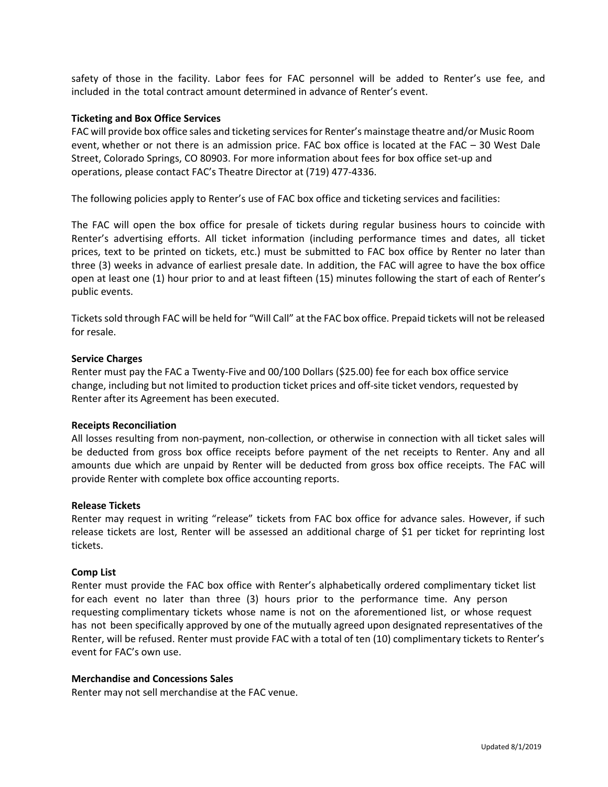safety of those in the facility. Labor fees for FAC personnel will be added to Renter's use fee, and included in the total contract amount determined in advance of Renter's event.

#### **Ticketing and Box Office Services**

FAC will provide box office sales and ticketing services for Renter's mainstage theatre and/or Music Room event, whether or not there is an admission price. FAC box office is located at the FAC – 30 West Dale Street, Colorado Springs, CO 80903. For more information about fees for box office set-up and operations, please contact FAC's Theatre Director at (719) 477-4336.

The following policies apply to Renter's use of FAC box office and ticketing services and facilities:

The FAC will open the box office for presale of tickets during regular business hours to coincide with Renter's advertising efforts. All ticket information (including performance times and dates, all ticket prices, text to be printed on tickets, etc.) must be submitted to FAC box office by Renter no later than three (3) weeks in advance of earliest presale date. In addition, the FAC will agree to have the box office open at least one (1) hour prior to and at least fifteen (15) minutes following the start of each of Renter's public events.

Tickets sold through FAC will be held for "Will Call" at the FAC box office. Prepaid tickets will not be released for resale.

#### **Service Charges**

Renter must pay the FAC a Twenty-Five and 00/100 Dollars (\$25.00) fee for each box office service change, including but not limited to production ticket prices and off-site ticket vendors, requested by Renter after its Agreement has been executed.

#### **Receipts Reconciliation**

All losses resulting from non-payment, non-collection, or otherwise in connection with all ticket sales will be deducted from gross box office receipts before payment of the net receipts to Renter. Any and all amounts due which are unpaid by Renter will be deducted from gross box office receipts. The FAC will provide Renter with complete box office accounting reports.

#### **Release Tickets**

Renter may request in writing "release" tickets from FAC box office for advance sales. However, if such release tickets are lost, Renter will be assessed an additional charge of \$1 per ticket for reprinting lost tickets.

#### **Comp List**

Renter must provide the FAC box office with Renter's alphabetically ordered complimentary ticket list for each event no later than three (3) hours prior to the performance time. Any person requesting complimentary tickets whose name is not on the aforementioned list, or whose request has not been specifically approved by one of the mutually agreed upon designated representatives of the Renter, will be refused. Renter must provide FAC with a total of ten (10) complimentary tickets to Renter's event for FAC's own use.

#### **Merchandise and Concessions Sales**

Renter may not sell merchandise at the FAC venue.